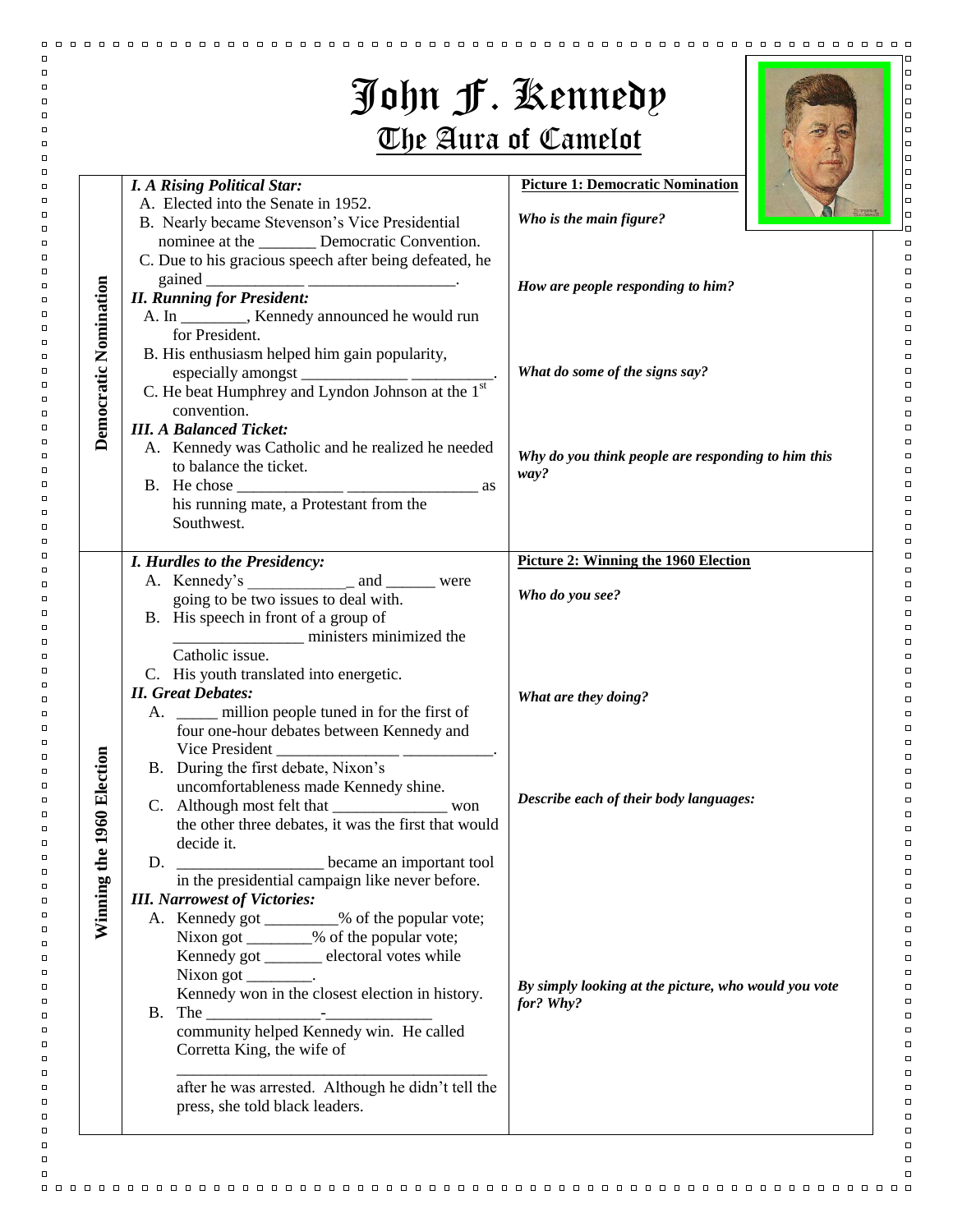|                           | John J. Kennedy<br>The Aura of Camelot                                                                                                                                                                                                                                                                                                                                                                                                                                                                                                                                                  |                                                                   |
|---------------------------|-----------------------------------------------------------------------------------------------------------------------------------------------------------------------------------------------------------------------------------------------------------------------------------------------------------------------------------------------------------------------------------------------------------------------------------------------------------------------------------------------------------------------------------------------------------------------------------------|-------------------------------------------------------------------|
|                           | <b>I. A Rising Political Star:</b>                                                                                                                                                                                                                                                                                                                                                                                                                                                                                                                                                      | <b>Picture 1: Democratic Nomination</b>                           |
|                           | A. Elected into the Senate in 1952.<br>B. Nearly became Stevenson's Vice Presidential                                                                                                                                                                                                                                                                                                                                                                                                                                                                                                   | Who is the main figure?                                           |
|                           | nominee at the _________ Democratic Convention.<br>C. Due to his gracious speech after being defeated, he<br>A. In ________, Kennedy announced he would run<br>for President.                                                                                                                                                                                                                                                                                                                                                                                                           | How are people responding to him?                                 |
| Democratic Nomination     | B. His enthusiasm helped him gain popularity,<br>especially amongst $\frac{1}{\sum_{i=1}^{n} C_i}$ .<br>C. He beat Humphrey and Lyndon Johnson at the 1 <sup>st</sup><br>convention.                                                                                                                                                                                                                                                                                                                                                                                                    | What do some of the signs say?                                    |
|                           | <b>III. A Balanced Ticket:</b><br>A. Kennedy was Catholic and he realized he needed<br>to balance the ticket.<br>his running mate, a Protestant from the<br>Southwest.                                                                                                                                                                                                                                                                                                                                                                                                                  | Why do you think people are responding to him this<br>way?        |
|                           | I. Hurdles to the Presidency:                                                                                                                                                                                                                                                                                                                                                                                                                                                                                                                                                           | <b>Picture 2: Winning the 1960 Election</b>                       |
|                           | going to be two issues to deal with.<br>B. His speech in front of a group of<br>ministers minimized the                                                                                                                                                                                                                                                                                                                                                                                                                                                                                 | Who do you see?                                                   |
|                           | Catholic issue.<br>C. His youth translated into energetic.<br><b>II.</b> Great Debates:<br>A. _____ million people tuned in for the first of<br>four one-hour debates between Kennedy and                                                                                                                                                                                                                                                                                                                                                                                               | What are they doing?                                              |
|                           | B. During the first debate, Nixon's<br>uncomfortableness made Kennedy shine.<br>the other three debates, it was the first that would<br>decide it.                                                                                                                                                                                                                                                                                                                                                                                                                                      | Describe each of their body languages:                            |
| Winning the 1960 Election | in the presidential campaign like never before.<br><b>III.</b> Narrowest of Victories:<br>A. Kennedy got ________% of the popular vote;<br>Nixon got _______% of the popular vote;<br>Kennedy got ______ electoral votes while                                                                                                                                                                                                                                                                                                                                                          |                                                                   |
|                           | Nixon got $\_\_\_\_\_\_\_\_\$ .<br>Kennedy won in the closest election in history.<br>B. The $\frac{1}{\sqrt{1-\frac{1}{2}}}\frac{1}{\sqrt{1-\frac{1}{2}}}\frac{1}{\sqrt{1-\frac{1}{2}}}\frac{1}{\sqrt{1-\frac{1}{2}}}\frac{1}{\sqrt{1-\frac{1}{2}}}\frac{1}{\sqrt{1-\frac{1}{2}}}\frac{1}{\sqrt{1-\frac{1}{2}}}\frac{1}{\sqrt{1-\frac{1}{2}}}\frac{1}{\sqrt{1-\frac{1}{2}}}\frac{1}{\sqrt{1-\frac{1}{2}}}\frac{1}{\sqrt{1-\frac{1}{2}}}\frac{1}{\sqrt{1-\frac{1}{2}}}\frac{1}{\sqrt{1-\frac{1}{2}}}\frac{1}{$<br>community helped Kennedy win. He called<br>Corretta King, the wife of | By simply looking at the picture, who would you vote<br>for? Why? |
|                           | after he was arrested. Although he didn't tell the<br>press, she told black leaders.                                                                                                                                                                                                                                                                                                                                                                                                                                                                                                    |                                                                   |

 $\Box$  $\Box$  $\Box$  $\Box$  $\Box$  $\Box$  $\Box$  $\Box$  $\Box$  $\Box$  $\Box$  $\Box$  $\Box$  $\Box$  $\qquad \qquad \Box$  $\Box$  $\Box$  $\Box$  $\Box$  $\Box$  $\Box$  $\Box$  $\Box$  $\Box$  $\Box$  $\Box$  $\Box$  $\Box$  $\Box$  $\Box$  $\Box$  $\Box$  $\Box$  $\Box$  $\Box$  $\Box$  $\Box$  $\Box$  $\Box$  $\Box$  $\Box$  $\Box$  $\Box$  $\Box$  $\Box$  $\Box$  $\Box$  $\Box$  $\Box$  $\Box$  $\Box$  $\Box$  $\Box$  $\Box$  $\Box$  $\Box$  $\Box$  $\Box$  $\Box$  $\Box$  $\Box$  $\Box$  $\Box$  $\Box$  $\Box$  $\Box$  $\Box$  $\Box$  $\Box$  $\Box$  $\Box$  $\Box$  $\Box$  $\Box$  $\Box$  $\Box$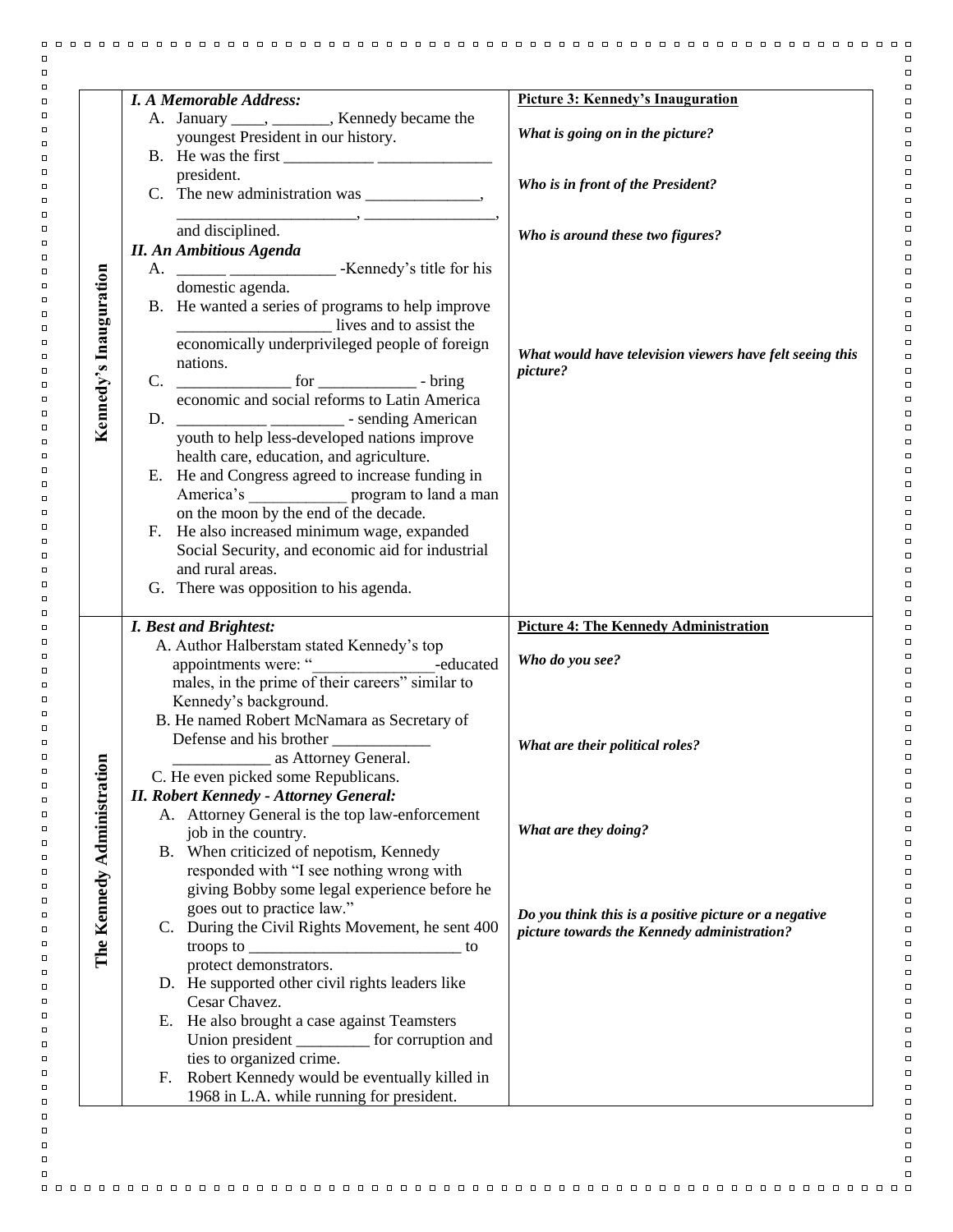|                               | <b>I. A Memorable Address:</b>                                                                                                                                                                             | <b>Picture 3: Kennedy's Inauguration</b>                             |
|-------------------------------|------------------------------------------------------------------------------------------------------------------------------------------------------------------------------------------------------------|----------------------------------------------------------------------|
| Kennedy's Inauguration        | A. January _____, ________, Kennedy became the<br>youngest President in our history.                                                                                                                       | What is going on in the picture?                                     |
|                               | president.                                                                                                                                                                                                 | Who is in front of the President?                                    |
|                               | and disciplined.<br><b>II.</b> An Ambitious Agenda                                                                                                                                                         | Who is around these two figures?                                     |
|                               | A. _______ _____________________ -Kennedy's title for his<br>domestic agenda.<br>B. He wanted a series of programs to help improve<br>lives and to assist the                                              |                                                                      |
|                               | economically underprivileged people of foreign<br>nations.                                                                                                                                                 | What would have television viewers have felt seeing this<br>picture? |
|                               | economic and social reforms to Latin America<br>D. ____________ _________ - sending American<br>youth to help less-developed nations improve<br>health care, education, and agriculture.                   |                                                                      |
|                               | E. He and Congress agreed to increase funding in<br>America's program to land a man<br>on the moon by the end of the decade.                                                                               |                                                                      |
|                               | F. He also increased minimum wage, expanded<br>Social Security, and economic aid for industrial<br>and rural areas.                                                                                        |                                                                      |
| Administration<br>The Kennedy | G. There was opposition to his agenda.<br><b>I. Best and Brightest:</b>                                                                                                                                    | <b>Picture 4: The Kennedy Administration</b>                         |
|                               | A. Author Halberstam stated Kennedy's top<br>appointments were: "<br>-educated<br>males, in the prime of their careers" similar to<br>Kennedy's background.<br>B. He named Robert McNamara as Secretary of | Who do you see?                                                      |
|                               | Defense and his brother<br>as Attorney General.<br>C. He even picked some Republicans.                                                                                                                     | What are their political roles?                                      |
|                               | <b>II. Robert Kennedy - Attorney General:</b><br>A. Attorney General is the top law-enforcement<br>job in the country.<br>B. When criticized of nepotism, Kennedy                                          | What are they doing?                                                 |
|                               | responded with "I see nothing wrong with<br>giving Bobby some legal experience before he<br>goes out to practice law."                                                                                     | Do you think this is a positive picture or a negative                |
|                               | C. During the Civil Rights Movement, he sent 400<br>troops to $\_\_$<br>protect demonstrators.<br>D. He supported other civil rights leaders like                                                          | picture towards the Kennedy administration?                          |
|                               | Cesar Chavez.<br>E. He also brought a case against Teamsters<br>Union president ____________ for corruption and                                                                                            |                                                                      |
|                               | ties to organized crime.<br>Robert Kennedy would be eventually killed in<br>F.<br>1968 in L.A. while running for president.                                                                                |                                                                      |

 $\Box$  $\Box$  $\Box$  $\Box$  $\Box$  $\Box$  $\Box$  $\Box$  $\Box$  $\Box$  $\Box$  $\Box$  $\Box$  $\Box$  $\Box$  $\Box$  $\Box$  $\Box$  $\Box$  $\Box$  $\Box$  $\Box$  $\Box$  $\Box$  $\Box$  $\Box$  $\Box$  $\Box$  $\Box$  $\Box$  $\Box$  $\Box$  $\Box$  $\Box$  $\Box$  $\Box$  $\Box$  $\Box$  $\Box$  $\Box$  $\Box$  $\Box$  $\Box$  $\Box$  $\Box$  $\Box$  $\Box$  $\Box$  $\Box$  $\Box$  $\Box$  $\Box$  $\Box$  $\Box$  $\Box$  $\Box$  $\Box$  $\Box$  $\Box$  $\Box$  $\Box$  $\Box$  $\Box$  $\Box$  $\Box$  $\Box$  $\Box$  $\Box$  $\Box$  $\Box$  $\Box$  $\Box$  $\Box$  $\Box$  $\Box$  $\Box$  $\Box$  $\Box$  $\Box$